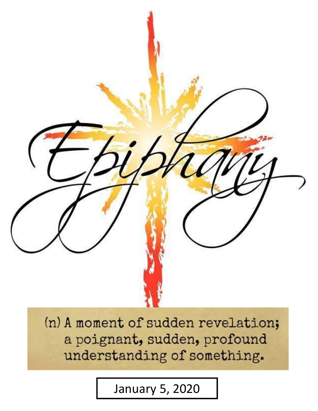

(n) A moment of sudden revelation; a poignant, sudden, profound understanding of something.

January 5, 2020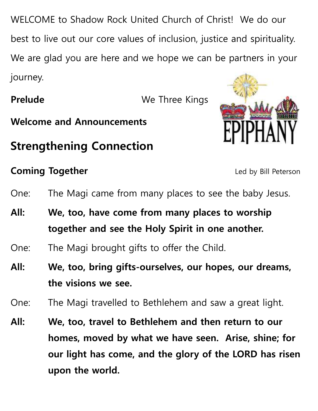WELCOME to Shadow Rock United Church of Christ! We do our best to live out our core values of inclusion, justice and spirituality. We are glad you are here and we hope we can be partners in your journey.

**Prelude** We Three Kings



# **Strengthening Connection**

**Welcome and Announcements**

# **Coming Together** Led by Bill Peterson

- One: The Magi came from many places to see the baby Jesus.
- **All: We, too, have come from many places to worship together and see the Holy Spirit in one another.**
- One: The Magi brought gifts to offer the Child.
- **All: We, too, bring gifts-ourselves, our hopes, our dreams, the visions we see.**
- One: The Magi travelled to Bethlehem and saw a great light.
- **All: We, too, travel to Bethlehem and then return to our homes, moved by what we have seen. Arise, shine; for our light has come, and the glory of the LORD has risen upon the world.**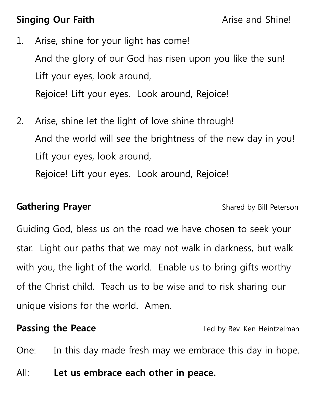# **Singing Our Faith Arise and Shine!**

- 1. Arise, shine for your light has come! And the glory of our God has risen upon you like the sun! Lift your eyes, look around, Rejoice! Lift your eyes. Look around, Rejoice!
- 2. Arise, shine let the light of love shine through! And the world will see the brightness of the new day in you! Lift your eyes, look around, Rejoice! Lift your eyes. Look around, Rejoice!

### **Gathering Prayer Shared by Bill Peterson**

Guiding God, bless us on the road we have chosen to seek your star. Light our paths that we may not walk in darkness, but walk with you, the light of the world. Enable us to bring gifts worthy of the Christ child. Teach us to be wise and to risk sharing our unique visions for the world. Amen.

**Passing the Peace Led by Rev. Ken Heintzelman** 

One: In this day made fresh may we embrace this day in hope.

All: **Let us embrace each other in peace.**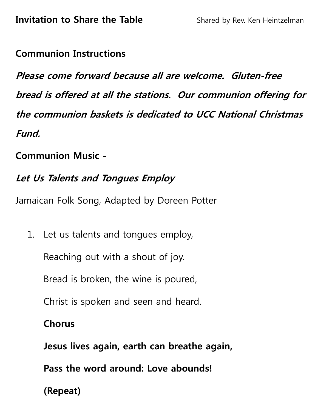### **Communion Instructions**

**Please come forward because all are welcome. Gluten-free bread is offered at all the stations. Our communion offering for the communion baskets is dedicated to UCC National Christmas Fund.** 

### **Communion Music -**

# **Let Us Talents and Tongues Employ**

Jamaican Folk Song, Adapted by Doreen Potter

1. Let us talents and tongues employ,

Reaching out with a shout of joy.

Bread is broken, the wine is poured,

Christ is spoken and seen and heard.

### **Chorus**

 **Jesus lives again, earth can breathe again,** 

 **Pass the word around: Love abounds!** 

**(Repeat)**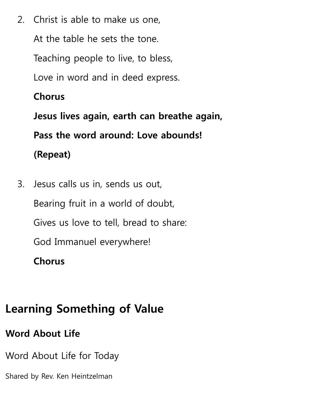2. Christ is able to make us one, At the table he sets the tone. Teaching people to live, to bless, Love in word and in deed express.  **Chorus Jesus lives again, earth can breathe again,** 

 **Pass the word around: Love abounds!** 

**(Repeat)** 

3. Jesus calls us in, sends us out, Bearing fruit in a world of doubt, Gives us love to tell, bread to share: God Immanuel everywhere!  **Chorus** 

# **Learning Something of Value**

**Word About Life** 

Word About Life for Today

Shared by Rev. Ken Heintzelman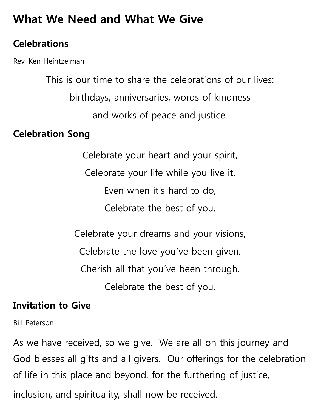# **What We Need and What We Give**

# **Celebrations**

Rev. Ken Heintzelman

This is our time to share the celebrations of our lives: birthdays, anniversaries, words of kindness and works of peace and justice.

# **Celebration Song**

Celebrate your heart and your spirit, Celebrate your life while you live it. Even when it's hard to do, Celebrate the best of you.

Celebrate your dreams and your visions, Celebrate the love you've been given. Cherish all that you've been through, Celebrate the best of you.

# **Invitation to Give**

Bill Peterson

As we have received, so we give. We are all on this journey and God blesses all gifts and all givers. Our offerings for the celebration of life in this place and beyond, for the furthering of justice, inclusion, and spirituality, shall now be received.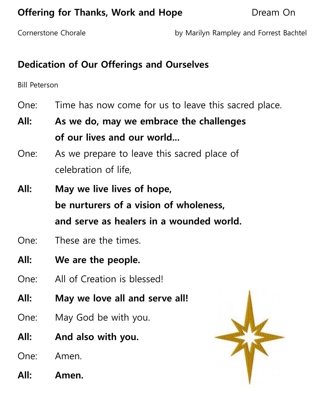# **Offering for Thanks, Work and Hope <b>Concernation** Dream On

Cornerstone Chorale **by Marilyn Rampley and Forrest Bachtel** 

# **Dedication of Our Offerings and Ourselves**

Bill Peterson

- One: Time has now come for us to leave this sacred place.
- **All: As we do, may we embrace the challenges of our lives and our world...**
- One: As we prepare to leave this sacred place of celebration of life,
- **All: May we live lives of hope, be nurturers of a vision of wholeness, and serve as healers in a wounded world.**
- One: These are the times.
- **All: We are the people.**
- One: All of Creation is blessed!
- **All: May we love all and serve all!**
- One: May God be with you.
- **All: And also with you.**
- One: Amen.
- **All: Amen.**